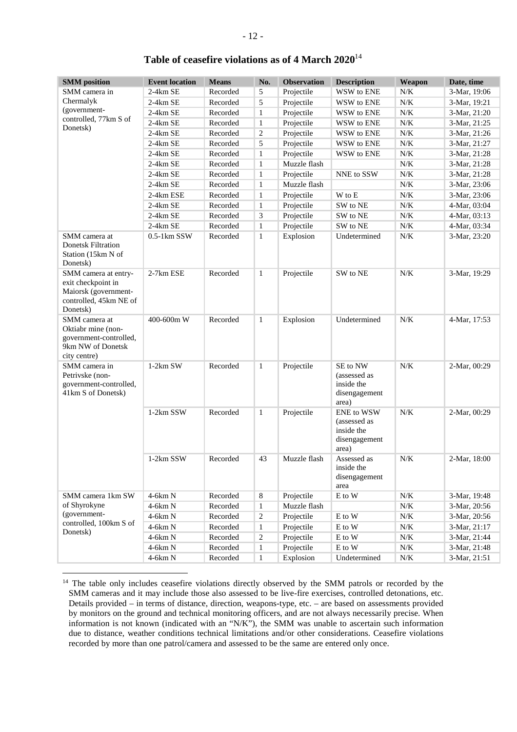| <b>SMM</b> position                                                                                      | <b>Event location</b> | <b>Means</b> | No.              | <b>Observation</b> | <b>Description</b>                                                 | Weapon    | Date, time   |
|----------------------------------------------------------------------------------------------------------|-----------------------|--------------|------------------|--------------------|--------------------------------------------------------------------|-----------|--------------|
| SMM camera in                                                                                            | $2-4km$ SE            | Recorded     | 5                | Projectile         | WSW to ENE                                                         | N/K       | 3-Mar, 19:06 |
| Chermalyk                                                                                                | 2-4km SE              | Recorded     | 5                | Projectile         | WSW to ENE                                                         | $N/K$     | 3-Mar, 19:21 |
| (government-                                                                                             | $2-4km$ SE            | Recorded     | 1                | Projectile         | WSW to ENE                                                         | $N\!/\!K$ | 3-Mar, 21:20 |
| controlled, 77km S of                                                                                    | $2-4km$ SE            | Recorded     | 1                | Projectile         | WSW to ENE                                                         | $N\!/\!K$ | 3-Mar, 21:25 |
| Donetsk)                                                                                                 | $2-4km$ SE            | Recorded     | $\overline{c}$   | Projectile         | WSW to ENE                                                         | $N\!/\!K$ | 3-Mar, 21:26 |
|                                                                                                          | $2-4km$ SE            | Recorded     | 5                | Projectile         | WSW to ENE                                                         | $N\!/\!K$ | 3-Mar, 21:27 |
|                                                                                                          | $2-4km$ SE            | Recorded     | 1                | Projectile         | WSW to ENE                                                         | $N\!/\!K$ | 3-Mar, 21:28 |
|                                                                                                          | 2-4km SE              | Recorded     | $\mathbf{1}$     | Muzzle flash       |                                                                    | $N\!/\!K$ | 3-Mar, 21:28 |
|                                                                                                          | $2-4km$ SE            | Recorded     | $\mathbf{1}$     | Projectile         | NNE to SSW                                                         | $N\!/\!K$ | 3-Mar, 21:28 |
|                                                                                                          | 2-4km SE              | Recorded     | $\mathbf{1}$     | Muzzle flash       |                                                                    | $N\!/\!K$ | 3-Mar, 23:06 |
|                                                                                                          | 2-4km ESE             | Recorded     | $\mathbf{1}$     | Projectile         | W to E                                                             | $N\!/\!K$ | 3-Mar, 23:06 |
|                                                                                                          | $2-4km$ SE            | Recorded     | $\mathbf{1}$     | Projectile         | $\ensuremath{\mathsf{SW}}$ to $\ensuremath{\mathsf{NE}}$           | $N\!/\!K$ | 4-Mar, 03:04 |
|                                                                                                          | 2-4km SE              | Recorded     | 3                | Projectile         | SW to NE                                                           | $N\!/\!K$ | 4-Mar, 03:13 |
|                                                                                                          | $2-4km$ SE            | Recorded     | $\mathbf{1}$     | Projectile         | SW to NE                                                           | $N\!/\!K$ | 4-Mar, 03:34 |
| SMM camera at                                                                                            | $0.5-1$ km $SSW$      | Recorded     | $\mathbf{1}$     | Explosion          | Undetermined                                                       | $N\!/\!K$ | 3-Mar, 23:20 |
| <b>Donetsk Filtration</b><br>Station (15km N of<br>Donetsk)                                              |                       |              |                  |                    |                                                                    |           |              |
| SMM camera at entry-<br>exit checkpoint in<br>Maiorsk (government-<br>controlled, 45km NE of<br>Donetsk) | 2-7km ESE             | Recorded     | $\mathbf{1}$     | Projectile         | SW to NE                                                           | N/K       | 3-Mar, 19:29 |
| SMM camera at<br>Oktiabr mine (non-<br>government-controlled,<br>9km NW of Donetsk<br>city centre)       | 400-600m W            | Recorded     | $\mathbf{1}$     | Explosion          | Undetermined                                                       | N/K       | 4-Mar, 17:53 |
| SMM camera in<br>Petrivske (non-<br>government-controlled,<br>41km S of Donetsk)                         | $1-2km$ SW            | Recorded     | $\mathbf{1}$     | Projectile         | SE to NW<br>(assessed as<br>inside the<br>disengagement<br>area)   | $N/K$     | 2-Mar, 00:29 |
|                                                                                                          | 1-2km SSW             | Recorded     | $\mathbf{1}$     | Projectile         | ENE to WSW<br>(assessed as<br>inside the<br>disengagement<br>area) | N/K       | 2-Mar, 00:29 |
|                                                                                                          | 1-2km SSW             | Recorded     | 43               | Muzzle flash       | Assessed as<br>inside the<br>disengagement<br>area                 | N/K       | 2-Mar, 18:00 |
| SMM camera 1km SW<br>of Shyrokyne<br>(government-                                                        | 4-6km N               | Recorded     | $\,8\,$          | Projectile         | $\mathbf E$ to $\mathbf W$                                         | $N\!/\!K$ | 3-Mar, 19:48 |
|                                                                                                          | 4-6km N               | Recorded     | $\mathbf{1}$     | Muzzle flash       |                                                                    | $N\!/\!K$ | 3-Mar, 20:56 |
|                                                                                                          | 4-6km N               | Recorded     | $\sqrt{2}$       | Projectile         | $\mathbf E$ to $\mathbf W$                                         | $N\!/\!K$ | 3-Mar, 20:56 |
| controlled, 100km S of<br>Donetsk)                                                                       | 4-6km N               | Recorded     | $\mathbf{1}$     | Projectile         | E to W                                                             | $N\!/\!K$ | 3-Mar, 21:17 |
|                                                                                                          | $4-6km N$             | Recorded     | $\boldsymbol{2}$ | Projectile         | E to W                                                             | $N\!/\!K$ | 3-Mar, 21:44 |
|                                                                                                          | 4-6km N               | Recorded     | $\mathbf{1}$     | Projectile         | E to W                                                             | N/K       | 3-Mar, 21:48 |
|                                                                                                          | 4-6km N               | Recorded     | $\mathbf{1}$     | Explosion          | Undetermined                                                       | $N\!/\!K$ | 3-Mar, 21:51 |

## **Table of ceasefire violations as of 4 March 2020**<sup>14</sup>

 $\overline{a}$ 

<sup>&</sup>lt;sup>14</sup> The table only includes ceasefire violations directly observed by the SMM patrols or recorded by the SMM cameras and it may include those also assessed to be live-fire exercises, controlled detonations, etc. Details provided – in terms of distance, direction, weapons-type, etc. – are based on assessments provided by monitors on the ground and technical monitoring officers, and are not always necessarily precise. When information is not known (indicated with an "N/K"), the SMM was unable to ascertain such information due to distance, weather conditions technical limitations and/or other considerations. Ceasefire violations recorded by more than one patrol/camera and assessed to be the same are entered only once.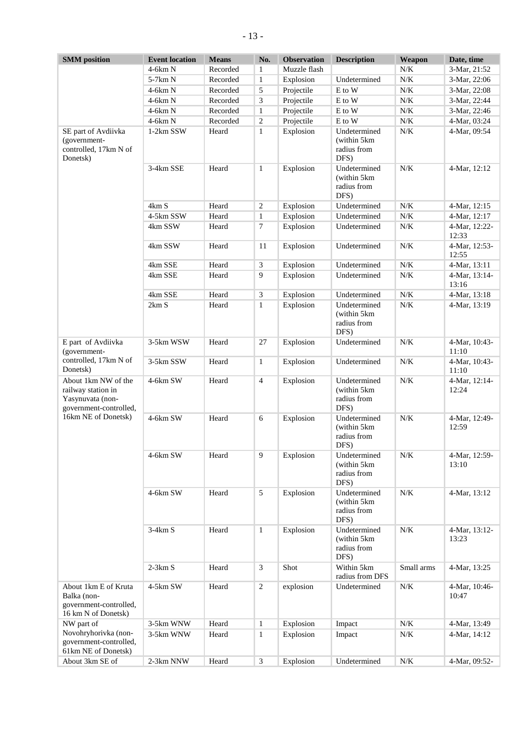| <b>SMM</b> position                                                                                            | <b>Event location</b> | <b>Means</b> | No.            | <b>Observation</b> | <b>Description</b>                                  | Weapon     | Date, time             |
|----------------------------------------------------------------------------------------------------------------|-----------------------|--------------|----------------|--------------------|-----------------------------------------------------|------------|------------------------|
|                                                                                                                | 4-6km N               | Recorded     | $\mathbf{1}$   | Muzzle flash       |                                                     | N/K        | 3-Mar, 21:52           |
|                                                                                                                | 5-7km N               | Recorded     | $\mathbf{1}$   | Explosion          | Undetermined                                        | N/K        | 3-Mar, 22:06           |
|                                                                                                                | 4-6km N               | Recorded     | 5              | Projectile         | E to W                                              | N/K        | 3-Mar, 22:08           |
|                                                                                                                | $4-6km N$             | Recorded     | 3              | Projectile         | E to W                                              | N/K        | 3-Mar, 22:44           |
|                                                                                                                | $4-6km N$             | Recorded     | $\mathbf{1}$   | Projectile         | E to W                                              | N/K        | 3-Mar, 22:46           |
|                                                                                                                | $4-6km N$             | Recorded     | 2              | Projectile         | E to W                                              | N/K        | 4-Mar, 03:24           |
| SE part of Avdiivka<br>(government-<br>controlled, 17km N of<br>Donetsk)                                       | 1-2km SSW             | Heard        | 1              | Explosion          | Undetermined<br>(within 5km)<br>radius from<br>DFS) | N/K        | 4-Mar, 09:54           |
|                                                                                                                | 3-4km SSE             | Heard        | $\mathbf{1}$   | Explosion          | Undetermined<br>(within 5km)<br>radius from<br>DFS) | N/K        | 4-Mar, 12:12           |
|                                                                                                                | 4km S                 | Heard        | $\overline{c}$ | Explosion          | Undetermined                                        | N/K        | 4-Mar, 12:15           |
|                                                                                                                | 4-5km SSW             | Heard        | 1              | Explosion          | Undetermined                                        | $N\!/\!K$  | 4-Mar, 12:17           |
|                                                                                                                | 4km SSW               | Heard        | 7              | Explosion          | Undetermined                                        | N/K        | 4-Mar, 12:22-<br>12:33 |
|                                                                                                                | 4km SSW               | Heard        | 11             | Explosion          | Undetermined                                        | N/K        | 4-Mar, 12:53-<br>12:55 |
|                                                                                                                | 4km SSE               | Heard        | 3              | Explosion          | Undetermined                                        | N/K        | 4-Mar, 13:11           |
|                                                                                                                | 4km SSE               | Heard        | 9              | Explosion          | Undetermined                                        | N/K        | 4-Mar, 13:14-<br>13:16 |
|                                                                                                                | 4km SSE               | Heard        | $\mathfrak{Z}$ | Explosion          | Undetermined                                        | N/K        | 4-Mar, 13:18           |
|                                                                                                                | 2km S                 | Heard        | $\mathbf{1}$   | Explosion          | Undetermined<br>(within 5km)<br>radius from<br>DFS) | N/K        | 4-Mar, 13:19           |
| E part of Avdiivka<br>(government-                                                                             | 3-5km WSW             | Heard        | 27             | Explosion          | Undetermined                                        | N/K        | 4-Mar, 10:43-<br>11:10 |
| controlled, 17km N of<br>Donetsk)                                                                              | 3-5km SSW             | Heard        | $\mathbf{1}$   | Explosion          | Undetermined                                        | N/K        | 4-Mar, 10:43-<br>11:10 |
| About 1km NW of the<br>railway station in<br>Yasynuvata (non-<br>government-controlled,<br>16km NE of Donetsk) | 4-6km SW              | Heard        | $\overline{4}$ | Explosion          | Undetermined<br>(within 5km<br>radius from<br>DFS)  | N/K        | 4-Mar, 12:14-<br>12:24 |
|                                                                                                                | 4-6km SW              | Heard        | 6              | Explosion          | Undetermined<br>(within 5km)<br>radius from<br>DFS) | N/K        | 4-Mar, 12:49-<br>12:59 |
|                                                                                                                | 4-6km SW              | Heard        | $\overline{9}$ | Explosion          | Undetermined<br>(within 5km)<br>radius from<br>DFS) | N/K        | 4-Mar, 12:59-<br>13:10 |
|                                                                                                                | 4-6km SW              | Heard        | 5              | Explosion          | Undetermined<br>(within 5km)<br>radius from<br>DFS) | N/K        | 4-Mar, 13:12           |
|                                                                                                                | $3-4km S$             | Heard        | $\mathbf{1}$   | Explosion          | Undetermined<br>(within 5km)<br>radius from<br>DFS) | N/K        | 4-Mar, 13:12-<br>13:23 |
|                                                                                                                | $2-3km S$             | Heard        | $\mathfrak{Z}$ | Shot               | Within 5km<br>radius from DFS                       | Small arms | 4-Mar, 13:25           |
| About 1km E of Kruta<br>Balka (non-<br>government-controlled,<br>16 km N of Donetsk)                           | 4-5km SW              | Heard        | $\sqrt{2}$     | explosion          | Undetermined                                        | $N\!/\!K$  | 4-Mar, 10:46-<br>10:47 |
| NW part of                                                                                                     | 3-5km WNW             | Heard        | $\mathbf{1}$   | Explosion          | Impact                                              | $N\!/\!K$  | 4-Mar, 13:49           |
| Novohryhorivka (non-<br>government-controlled,<br>61km NE of Donetsk)                                          | 3-5km WNW             | Heard        | 1              | Explosion          | Impact                                              | N/K        | 4-Mar, 14:12           |
| About 3km SE of                                                                                                | 2-3km NNW             | Heard        | $\mathfrak{Z}$ | Explosion          | Undetermined                                        | N/K        | 4-Mar, 09:52-          |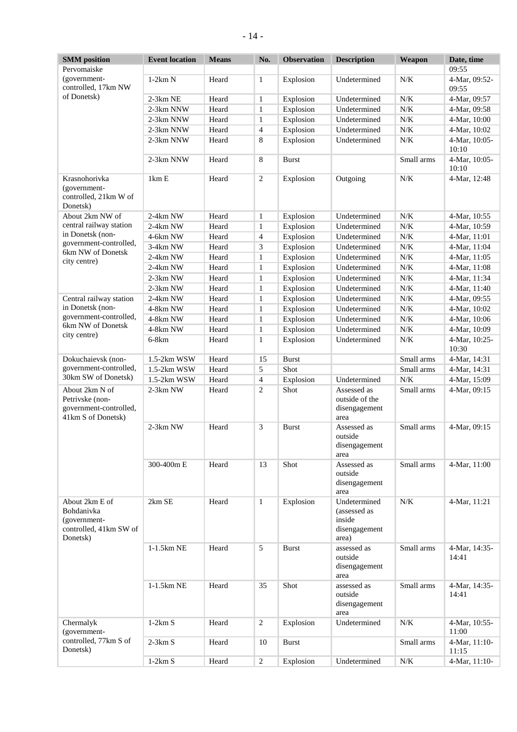| <b>SMM</b> position                                                                | <b>Event location</b> | <b>Means</b> | No.            | <b>Observation</b> | <b>Description</b>                                               | Weapon     | Date, time             |
|------------------------------------------------------------------------------------|-----------------------|--------------|----------------|--------------------|------------------------------------------------------------------|------------|------------------------|
| Pervomaiske                                                                        |                       |              |                |                    |                                                                  |            | 09:55                  |
| (government-<br>controlled, 17km NW                                                | $1-2km N$             | Heard        | $\mathbf{1}$   | Explosion          | Undetermined                                                     | N/K        | 4-Mar, 09:52-<br>09:55 |
| of Donetsk)                                                                        | $2-3km$ NE            | Heard        | $\mathbf{1}$   | Explosion          | Undetermined                                                     | $N/K$      | 4-Mar, 09:57           |
|                                                                                    | 2-3km NNW             | Heard        | $\mathbf{1}$   | Explosion          | Undetermined                                                     | $N/K$      | 4-Mar, 09:58           |
|                                                                                    | 2-3km NNW             | Heard        | $\mathbf{1}$   | Explosion          | Undetermined                                                     | $N/K$      | 4-Mar, 10:00           |
|                                                                                    | 2-3km NNW             | Heard        | $\overline{4}$ | Explosion          | Undetermined                                                     | $N/K$      | 4-Mar, 10:02           |
|                                                                                    |                       |              |                |                    |                                                                  |            |                        |
|                                                                                    | 2-3km NNW             | Heard        | 8              | Explosion          | Undetermined                                                     | $N/K$      | 4-Mar, 10:05-<br>10:10 |
|                                                                                    | 2-3km NNW             | Heard        | 8              | <b>Burst</b>       |                                                                  | Small arms | 4-Mar, 10:05-<br>10:10 |
| Krasnohorivka<br>(government-<br>controlled, 21km W of<br>Donetsk)                 | 1km E                 | Heard        | $\overline{c}$ | Explosion          | Outgoing                                                         | $N/K$      | 4-Mar, 12:48           |
| About 2km NW of                                                                    | 2-4km NW              | Heard        | 1              | Explosion          | Undetermined                                                     | $N/K$      | 4-Mar, 10:55           |
| central railway station                                                            | 2-4km NW              | Heard        | $\mathbf{1}$   | Explosion          | Undetermined                                                     | $N/K$      | 4-Mar, 10:59           |
| in Donetsk (non-                                                                   | 4-6km NW              | Heard        | 4              | Explosion          | Undetermined                                                     | $N/K$      | 4-Mar, 11:01           |
| government-controlled,                                                             | 3-4km NW              | Heard        | 3              | Explosion          | Undetermined                                                     | $N/K$      | 4-Mar, 11:04           |
| 6km NW of Donetsk                                                                  | 2-4km NW              | Heard        | $\mathbf{1}$   | Explosion          | Undetermined                                                     | $N/K$      | 4-Mar, 11:05           |
| city centre)                                                                       | $2-4km$ NW            | Heard        |                | Explosion          | Undetermined                                                     | $N/K$      |                        |
|                                                                                    |                       |              | 1              |                    |                                                                  |            | 4-Mar, 11:08           |
|                                                                                    | 2-3km NW              | Heard        | 1              | Explosion          | Undetermined                                                     | $N/K$      | 4-Mar, 11:34           |
|                                                                                    | 2-3km NW              | Heard        | 1              | Explosion          | Undetermined                                                     | $N/K$      | 4-Mar, 11:40           |
| Central railway station                                                            | 2-4km NW              | Heard        | 1              | Explosion          | Undetermined                                                     | $N/K$      | 4-Mar, 09:55           |
| in Donetsk (non-                                                                   | 4-8km NW              | Heard        | 1              | Explosion          | Undetermined                                                     | $N/K$      | 4-Mar, 10:02           |
| government-controlled,                                                             | 4-8km NW              | Heard        | 1              | Explosion          | Undetermined                                                     | $N/K$      | 4-Mar, 10:06           |
| 6km NW of Donetsk                                                                  | 4-8km NW              | Heard        | $\mathbf{1}$   | Explosion          | Undetermined                                                     | $N/K$      | 4-Mar, 10:09           |
| city centre)                                                                       | $6-8km$               | Heard        | $\mathbf{1}$   | Explosion          | Undetermined                                                     | $N/K$      | 4-Mar, 10:25-<br>10:30 |
| Dokuchaievsk (non-                                                                 | 1.5-2km WSW           | Heard        | 15             | <b>Burst</b>       |                                                                  | Small arms | 4-Mar, 14:31           |
| government-controlled,<br>30km SW of Donetsk)                                      | 1.5-2km WSW           | Heard        | 5              | Shot               |                                                                  | Small arms | 4-Mar, 14:31           |
|                                                                                    | 1.5-2km WSW           | Heard        | 4              | Explosion          | Undetermined                                                     | N/K        | 4-Mar, 15:09           |
|                                                                                    | $2-3km$ NW            | Heard        | 2              | Shot               | Assessed as                                                      | Small arms |                        |
| About 2km N of<br>Petrivske (non-<br>government-controlled,<br>41km S of Donetsk)  |                       |              |                |                    | outside of the<br>disengagement<br>area                          |            | 4-Mar, 09:15           |
|                                                                                    | 2-3km NW              | Heard        | 3              | <b>Burst</b>       | Assessed as<br>outside<br>disengagement<br>area                  | Small arms | 4-Mar, 09:15           |
|                                                                                    | 300-400m E            | Heard        | 13             | Shot               | Assessed as<br>outside<br>disengagement<br>area                  | Small arms | 4-Mar, 11:00           |
| About 2km E of<br>Bohdanivka<br>(government-<br>controlled, 41km SW of<br>Donetsk) | 2km SE                | Heard        | $\mathbf{1}$   | Explosion          | Undetermined<br>(assessed as<br>inside<br>disengagement<br>area) | $N/K$      | 4-Mar, 11:21           |
|                                                                                    | 1-1.5km NE            | Heard        | 5              | <b>Burst</b>       | assessed as<br>outside<br>disengagement<br>area                  | Small arms | 4-Mar, 14:35-<br>14:41 |
|                                                                                    | 1-1.5km NE            | Heard        | 35             | Shot               | assessed as<br>outside<br>disengagement<br>area                  | Small arms | 4-Mar, 14:35-<br>14:41 |
| Chermalyk<br>(government-<br>controlled, 77km S of<br>Donetsk)                     | $1-2km S$             | Heard        | $\overline{c}$ | Explosion          | Undetermined                                                     | $N/K$      | 4-Mar, 10:55-<br>11:00 |
|                                                                                    | $2-3km S$             | Heard        | 10             | <b>Burst</b>       |                                                                  | Small arms | 4-Mar, 11:10-<br>11:15 |
|                                                                                    | $1-2km S$             | Heard        | $\overline{2}$ | Explosion          | Undetermined                                                     | $N\!/\!K$  | 4-Mar, 11:10-          |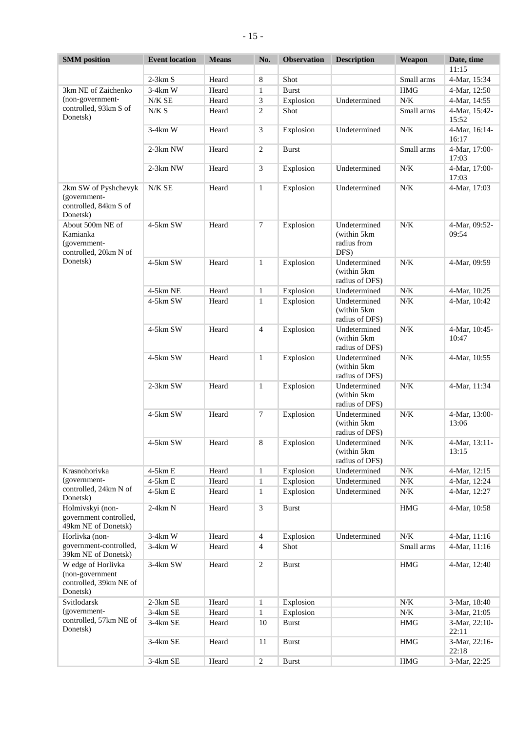| <b>SMM</b> position                                                         | <b>Event location</b> | <b>Means</b> | No.            | <b>Observation</b> | <b>Description</b>                                  | Weapon     | Date, time             |
|-----------------------------------------------------------------------------|-----------------------|--------------|----------------|--------------------|-----------------------------------------------------|------------|------------------------|
|                                                                             |                       |              |                |                    |                                                     |            | 11:15                  |
|                                                                             | $2-3km S$             | Heard        | 8              | Shot               |                                                     | Small arms | 4-Mar, 15:34           |
| 3km NE of Zaichenko                                                         | $3-4km$ W             | Heard        | 1              | <b>Burst</b>       |                                                     | <b>HMG</b> | 4-Mar, 12:50           |
| (non-government-                                                            | N/K SE                | Heard        | 3              | Explosion          | Undetermined                                        | $N/K$      | 4-Mar, 14:55           |
| controlled, 93km S of<br>Donetsk)                                           | N/K S                 | Heard        | 2              | Shot               |                                                     | Small arms | 4-Mar, 15:42-<br>15:52 |
|                                                                             | $3-4km$ W             | Heard        | 3              | Explosion          | Undetermined                                        | N/K        | 4-Mar, 16:14-<br>16:17 |
|                                                                             | $2-3km$ NW            | Heard        | $\sqrt{2}$     | <b>Burst</b>       |                                                     | Small arms | 4-Mar, 17:00-<br>17:03 |
|                                                                             | 2-3km NW              | Heard        | $\mathfrak{Z}$ | Explosion          | Undetermined                                        | N/K        | 4-Mar, 17:00-<br>17:03 |
| 2km SW of Pyshchevyk<br>(government-<br>controlled, 84km S of<br>Donetsk)   | N/K SE                | Heard        | $\mathbf{1}$   | Explosion          | Undetermined                                        | N/K        | 4-Mar, 17:03           |
| About 500m NE of<br>Kamianka<br>(government-<br>controlled, 20km N of       | 4-5km SW              | Heard        | $\tau$         | Explosion          | Undetermined<br>(within 5km)<br>radius from<br>DFS) | N/K        | 4-Mar, 09:52-<br>09:54 |
| Donetsk)                                                                    | 4-5km SW              | Heard        | $\mathbf{1}$   | Explosion          | Undetermined<br>(within 5km)<br>radius of DFS)      | N/K        | 4-Mar, 09:59           |
|                                                                             | 4-5km NE              | Heard        | $\mathbf{1}$   | Explosion          | Undetermined                                        | N/K        | 4-Mar, 10:25           |
|                                                                             | 4-5km SW              | Heard        | $\mathbf{1}$   | Explosion          | Undetermined<br>(within 5km)<br>radius of DFS)      | N/K        | 4-Mar, 10:42           |
|                                                                             | 4-5km SW              | Heard        | 4              | Explosion          | Undetermined<br>(within 5km)<br>radius of DFS)      | N/K        | 4-Mar, 10:45-<br>10:47 |
|                                                                             | 4-5km SW              | Heard        | $\mathbf{1}$   | Explosion          | Undetermined<br>(within 5km)<br>radius of DFS)      | N/K        | 4-Mar, 10:55           |
|                                                                             | 2-3km SW              | Heard        | $\mathbf{1}$   | Explosion          | Undetermined<br>(within 5km)<br>radius of DFS)      | N/K        | 4-Mar, 11:34           |
|                                                                             | 4-5km SW              | Heard        | $\tau$         | Explosion          | Undetermined<br>(within 5km)<br>radius of DFS)      | N/K        | 4-Mar, 13:00-<br>13:06 |
|                                                                             | 4-5km SW              | Heard        | $\,8\,$        | Explosion          | Undetermined<br>(within 5km)<br>radius of DFS)      | $N\!/\!K$  | 4-Mar, 13:11-<br>13:15 |
| Krasnohorivka                                                               | 4-5km E               | Heard        | $\mathbf{1}$   | Explosion          | Undetermined                                        | $N/K$      | 4-Mar, 12:15           |
| (government-                                                                | $4-5km E$             | Heard        | 1              | Explosion          | Undetermined                                        | N/K        | 4-Mar, 12:24           |
| controlled, 24km N of<br>Donetsk)                                           | $4-5km E$             | Heard        | 1              | Explosion          | Undetermined                                        | N/K        | 4-Mar, 12:27           |
| Holmivskyi (non-<br>government controlled,<br>49km NE of Donetsk)           | $2-4km N$             | Heard        | $\mathfrak{Z}$ | <b>Burst</b>       |                                                     | <b>HMG</b> | 4-Mar, 10:58           |
| Horlivka (non-                                                              | $3-4km$ W             | Heard        | $\overline{4}$ | Explosion          | Undetermined                                        | $N\!/\!K$  | 4-Mar, 11:16           |
| government-controlled,<br>39km NE of Donetsk)                               | $3-4km$ W             | Heard        | $\overline{4}$ | Shot               |                                                     | Small arms | 4-Mar, 11:16           |
| W edge of Horlivka<br>(non-government<br>controlled, 39km NE of<br>Donetsk) | 3-4km SW              | Heard        | $\sqrt{2}$     | <b>Burst</b>       |                                                     | <b>HMG</b> | 4-Mar, 12:40           |
| Svitlodarsk<br>(government-                                                 | $2-3km$ SE            | Heard        | $\mathbf{1}$   | Explosion          |                                                     | N/K        | 3-Mar, 18:40           |
|                                                                             | $3-4km$ SE            | Heard        | $\mathbf{1}$   | Explosion          |                                                     | $N/K$      | 3-Mar, 21:05           |
| controlled, 57km NE of<br>Donetsk)                                          | $3-4km$ SE            | Heard        | 10             | <b>Burst</b>       |                                                     | <b>HMG</b> | 3-Mar, 22:10-<br>22:11 |
|                                                                             | 3-4km SE              | Heard        | 11             | <b>Burst</b>       |                                                     | <b>HMG</b> | 3-Mar, 22:16-<br>22:18 |
|                                                                             | 3-4km SE              | Heard        | $\sqrt{2}$     | <b>Burst</b>       |                                                     | <b>HMG</b> | 3-Mar, 22:25           |